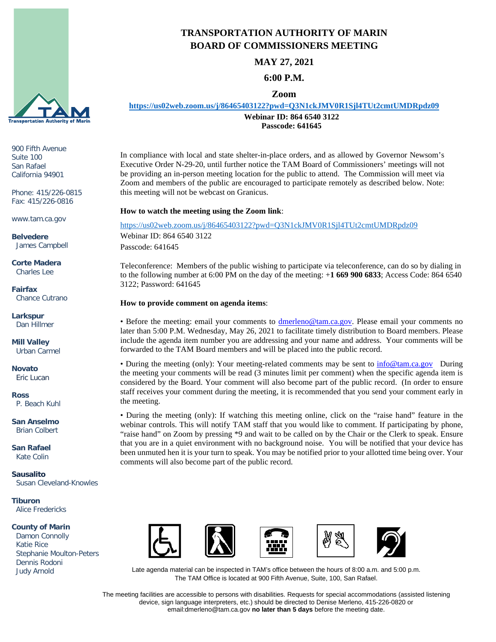

900 Fifth Avenue Suite 100 San Rafael California 94901

Phone: 415/226-0815 Fax: 415/226-0816

www.tam.ca.gov

**Belvedere** James Campbell

**Corte Madera** Charles Lee

**Fairfax** Chance Cutrano

**Larkspur** Dan Hillmer

**Mill Valley** Urban Carmel

**Novato** Eric Lucan

**Ross** P. Beach Kuhl

**San Anselmo** Brian Colbert

**San Rafael** Kate Colin

**Sausalito** Susan Cleveland-Knowles

**Tiburon** Alice Fredericks

#### **County of Marin**

 Damon Connolly Katie Rice Stephanie Moulton-Peters Dennis Rodoni Judy Arnold



**MAY 27, 2021**

## **6:00 P.M.**

### **Zoom**

**<https://us02web.zoom.us/j/86465403122?pwd=Q3N1ckJMV0R1Sjl4TUt2cmtUMDRpdz09>**

**Webinar ID: 864 6540 3122 Passcode: 641645**

In compliance with local and state shelter-in-place orders, and as allowed by Governor Newsom's Executive Order N-29-20, until further notice the TAM Board of Commissioners' meetings will not be providing an in-person meeting location for the public to attend. The Commission will meet via Zoom and members of the public are encouraged to participate remotely as described below. Note: this meeting will not be webcast on Granicus.

### **How to watch the meeting using the Zoom link**:

<https://us02web.zoom.us/j/86465403122?pwd=Q3N1ckJMV0R1Sjl4TUt2cmtUMDRpdz09> Webinar ID: 864 6540 3122 Passcode: 641645

Teleconference: Members of the public wishing to participate via teleconference, can do so by dialing in to the following number at 6:00 PM on the day of the meeting: +**1 669 900 6833**; Access Code: 864 6540 3122; Password: 641645

#### **How to provide comment on agenda items**:

• Before the meeting: email your comments to **dmerleno@tam.ca.gov**. Please email your comments no later than 5:00 P.M. Wednesday, May 26, 2021 to facilitate timely distribution to Board members. Please include the agenda item number you are addressing and your name and address. Your comments will be forwarded to the TAM Board members and will be placed into the public record.

• During the meeting (only): Your meeting-related comments may be sent to [info@tam.ca.gov](mailto:info@tam.ca.gov) During the meeting your comments will be read (3 minutes limit per comment) when the specific agenda item is considered by the Board. Your comment will also become part of the public record. (In order to ensure staff receives your comment during the meeting, it is recommended that you send your comment early in the meeting.

• During the meeting (only): If watching this meeting online, click on the "raise hand" feature in the webinar controls. This will notify TAM staff that you would like to comment. If participating by phone, "raise hand" on Zoom by pressing \*9 and wait to be called on by the Chair or the Clerk to speak. Ensure that you are in a quiet environment with no background noise. You will be notified that your device has been unmuted hen it is your turn to speak. You may be notified prior to your allotted time being over. Your comments will also become part of the public record.









Late agenda material can be inspected in TAM's office between the hours of 8:00 a.m. and 5:00 p.m. The TAM Office is located at 900 Fifth Avenue, Suite, 100, San Rafael.

The meeting facilities are accessible to persons with disabilities. Requests for special accommodations (assisted listening device, sign language interpreters, etc.) should be directed to Denise Merleno, 415-226-0820 or email:dmerleno@tam.ca.gov **no later than 5 days** before the meeting date.